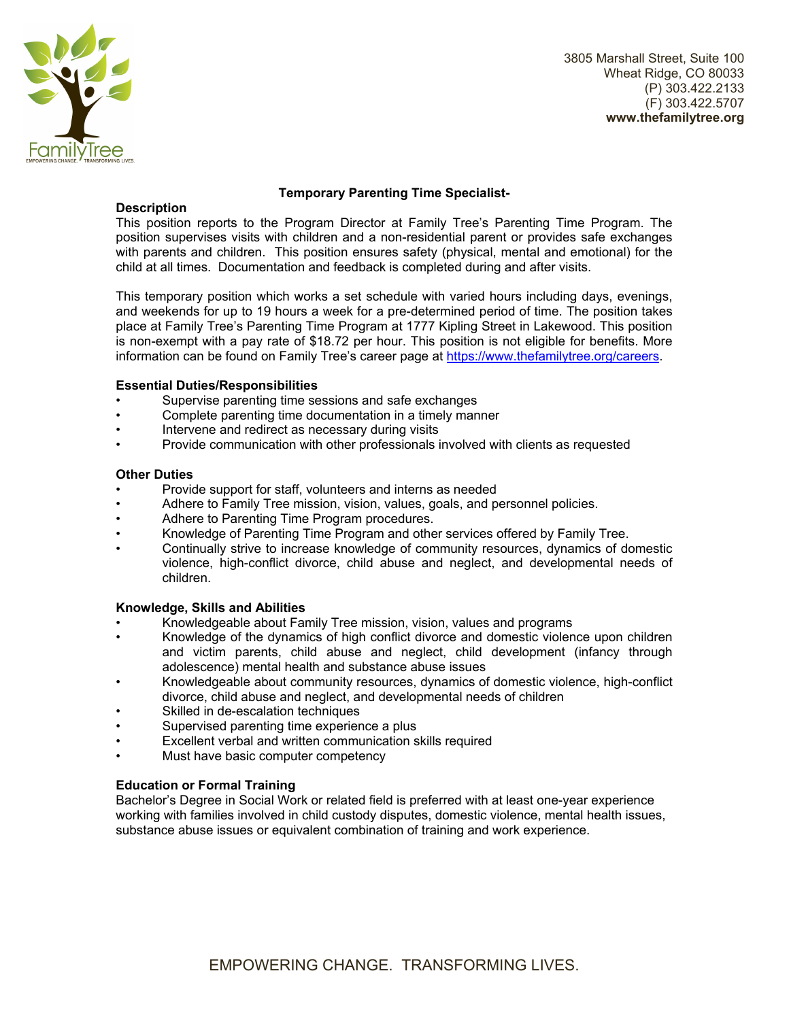

3805 Marshall Street, Suite 100 Wheat Ridge, CO 80033 (P) 303.422.2133 (F) 303.422.5707 **www.thefamilytree.org** 

# **Description**

## **Temporary Parenting Time Specialist-**

This position reports to the Program Director at Family Tree's Parenting Time Program. The position supervises visits with children and a non-residential parent or provides safe exchanges with parents and children. This position ensures safety (physical, mental and emotional) for the child at all times. Documentation and feedback is completed during and after visits.

This temporary position which works a set schedule with varied hours including days, evenings, and weekends for up to 19 hours a week for a pre-determined period of time. The position takes place at Family Tree's Parenting Time Program at 1777 Kipling Street in Lakewood. This position is non-exempt with a pay rate of \$18.72 per hour. This position is not eligible for benefits. More information can be found on Family Tree's career page at https://www.thefamilytree.org/careers.

## **Essential Duties/Responsibilities**

- Supervise parenting time sessions and safe exchanges
- Complete parenting time documentation in a timely manner
- Intervene and redirect as necessary during visits
- Provide communication with other professionals involved with clients as requested

#### **Other Duties**

- Provide support for staff, volunteers and interns as needed
- Adhere to Family Tree mission, vision, values, goals, and personnel policies.
- Adhere to Parenting Time Program procedures.
- Knowledge of Parenting Time Program and other services offered by Family Tree.
- Continually strive to increase knowledge of community resources, dynamics of domestic violence, high-conflict divorce, child abuse and neglect, and developmental needs of children.

#### **Knowledge, Skills and Abilities**

- Knowledgeable about Family Tree mission, vision, values and programs
- Knowledge of the dynamics of high conflict divorce and domestic violence upon children and victim parents, child abuse and neglect, child development (infancy through adolescence) mental health and substance abuse issues
- Knowledgeable about community resources, dynamics of domestic violence, high-conflict divorce, child abuse and neglect, and developmental needs of children
- Skilled in de-escalation techniques
- Supervised parenting time experience a plus
- Excellent verbal and written communication skills required
- Must have basic computer competency

#### **Education or Formal Training**

Bachelor's Degree in Social Work or related field is preferred with at least one-year experience working with families involved in child custody disputes, domestic violence, mental health issues, substance abuse issues or equivalent combination of training and work experience.